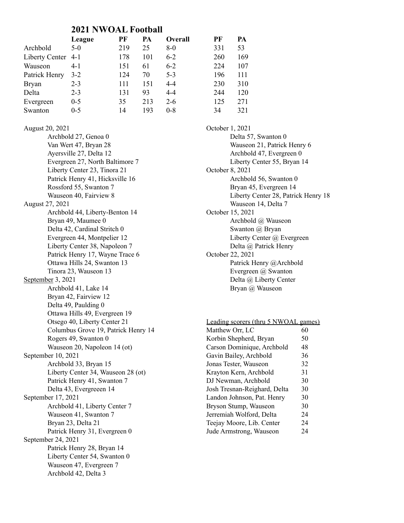## **2021 NWOAL Football**

|                    | League  | PF  | PA  | Overall | PF  | PA  |
|--------------------|---------|-----|-----|---------|-----|-----|
| Archbold           | $5-0$   | 219 | 25  | $8-0$   | 331 | 53  |
| Liberty Center 4-1 |         | 178 | 101 | $6 - 2$ | 260 | 169 |
| Wauseon            | 4-1     | 151 | 61  | $6 - 2$ | 224 | 107 |
| Patrick Henry      | $3-2$   | 124 | 70  | $5 - 3$ | 196 | 111 |
| <b>Bryan</b>       | $2 - 3$ | 111 | 151 | $4 - 4$ | 230 | 310 |
| Delta              | $2 - 3$ | 131 | 93  | $4 - 4$ | 244 | 120 |
| Evergreen          | $0 - 5$ | 35  | 213 | $2 - 6$ | 125 | 271 |
| Swanton            | $0 - 5$ | 14  | 193 | $0 - 8$ | 34  | 321 |

August 20, 2021 Archbold 27, Genoa 0 Van Wert 47, Bryan 28 Ayersville 27, Delta 12 Evergreen 27, North Baltimore 7 Liberty Center 23, Tinora 21 Patrick Henry 41, Hicksville 16 Rossford 55, Swanton 7 Wauseon 40, Fairview 8 August 27, 2021 Archbold 44, Liberty-Benton 14 Bryan 49, Maumee 0 Delta 42, Cardinal Stritch 0 Evergreen 44, Montpelier 12 Liberty Center 38, Napoleon 7 Patrick Henry 17, Wayne Trace 6 Ottawa Hills 24, Swanton 13 Tinora 23, Wauseon 13 September 3, 2021 Archbold 41, Lake 14 Bryan 42, Fairview 12 Delta 49, Paulding 0 Ottawa Hills 49, Evergreen 19 Otsego 40, Liberty Center 21 Columbus Grove 19, Patrick Henry 14 Rogers 49, Swanton 0 Wauseon 20, Napoleon 14 (ot) September 10, 2021 Archbold 33, Bryan 15 Liberty Center 34, Wauseon 28 (ot) Patrick Henry 41, Swanton 7 Delta 43, Evergreeen 14 September 17, 2021 Archbold 41, Liberty Center 7 Wauseon 41, Swanton 7 Bryan 23, Delta 21 Patrick Henry 31, Evergreen 0 September 24, 2021 Patrick Henry 28, Bryan 14 Liberty Center 54, Swanton 0 Wauseon 47, Evergreen 7 Archbold 42, Delta 3

October 1, 2021 Delta 57, Swanton 0 Wauseon 21, Patrick Henry 6 Archbold 47, Evergreen 0 Liberty Center 55, Bryan 14 October 8, 2021 Archbold 56, Swanton 0 Bryan 45, Evergreen 14 Liberty Center 28, Patrick Henry 18 Wauseon 14, Delta 7 October 15, 2021 Archbold @ Wauseon Swanton @ Bryan Liberty Center @ Evergreen Delta @ Patrick Henry October 22, 2021 Patrick Henry @Archbold Evergreen @ Swanton Delta @ Liberty Center Bryan @ Wauseon

| Leading scorers (thru 5 NWOAL games) |    |
|--------------------------------------|----|
| Matthew Orr, LC                      | 60 |
| Korbin Shepherd, Bryan               | 50 |
| Carson Dominique, Archbold           | 48 |
| Gavin Bailey, Archbold               | 36 |
| Jonas Tester, Wauseon                | 32 |
| Krayton Kern, Archbold               | 31 |
| DJ Newman, Archbold                  | 30 |
| Josh Tresnan-Reighard, Delta         | 30 |
| Landon Johnson, Pat. Henry           | 30 |
| Bryson Stump, Wauseon                | 30 |
| Jerremiah Wolford, Delta             | 24 |
| Teejay Moore, Lib. Center            | 24 |
| Jude Armstrong, Wauseon              | 24 |
|                                      |    |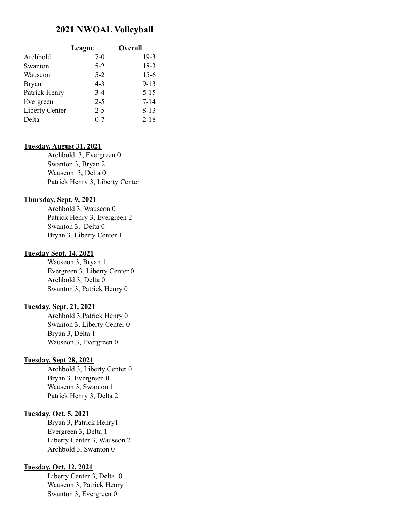# **2021 NWOAL Volleyball**

|                       | League  | Overall  |
|-----------------------|---------|----------|
| Archbold              | $7-0$   | $19-3$   |
| Swanton               | $5 - 2$ | $18-3$   |
| Wauseon               | $5 - 2$ | $15-6$   |
| <b>Bryan</b>          | $4 - 3$ | $9 - 13$ |
| Patrick Henry         | $3-4$   | $5 - 15$ |
| Evergreen             | $2 - 5$ | $7 - 14$ |
| <b>Liberty Center</b> | $2 - 5$ | $8 - 13$ |
| Delta                 | $0 - 7$ | $2 - 18$ |

#### **Tuesday, August 31, 2021**

Archbold 3, Evergreen 0 Swanton 3, Bryan 2 Wauseon 3, Delta 0 Patrick Henry 3, Liberty Center 1

#### **Thursday, Sept. 9, 2021**

Archbold 3, Wauseon 0 Patrick Henry 3, Evergreen 2 Swanton 3, Delta 0 Bryan 3, Liberty Center 1

#### **Tuesday Sept. 14, 2021**

Wauseon 3, Bryan 1 Evergreen 3, Liberty Center 0 Archbold 3, Delta 0 Swanton 3, Patrick Henry 0

#### **Tuesday, Sept. 21, 2021**

Archbold 3,Patrick Henry 0 Swanton 3, Liberty Center 0 Bryan 3, Delta 1 Wauseon 3, Evergreen 0

#### **Tuesday, Sept 28, 2021**

Archbold 3, Liberty Center 0 Bryan 3, Evergreen 0 Wauseon 3, Swanton 1 Patrick Henry 3, Delta 2

#### **Tuesday, Oct. 5, 2021**

Bryan 3, Patrick Henry1 Evergreen 3, Delta 1 Liberty Center 3, Wauseon 2 Archbold 3, Swanton 0

#### **Tuesday, Oct. 12, 2021**

Liberty Center 3, Delta 0 Wauseon 3, Patrick Henry 1 Swanton 3, Evergreen 0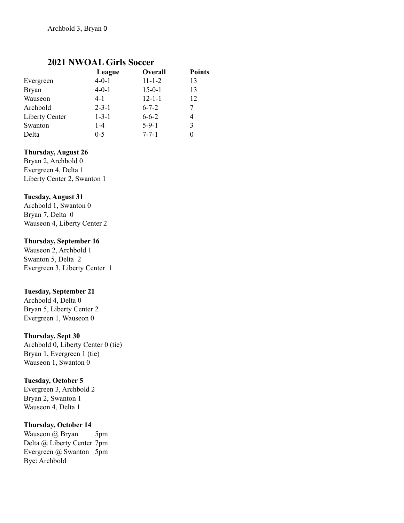# **2021 NWOAL Girls Soccer**

|                       | League      | <b>Overall</b> | <b>Points</b> |
|-----------------------|-------------|----------------|---------------|
| Evergreen             | $4 - 0 - 1$ | $11 - 1 - 2$   | 13            |
| <b>Bryan</b>          | $4 - 0 - 1$ | $15 - 0 - 1$   | 13            |
| Wauseon               | 4-1         | $12 - 1 - 1$   | 12            |
| Archbold              | $2 - 3 - 1$ | $6 - 7 - 2$    | 7             |
| <b>Liberty Center</b> | $1 - 3 - 1$ | $6 - 6 - 2$    | 4             |
| Swanton               | $1 - 4$     | $5-9-1$        | 3             |
| Delta                 | $0 - 5$     | $7 - 7 - 1$    | $\theta$      |

#### **Thursday, August 26**

Bryan 2, Archbold 0 Evergreen 4, Delta 1 Liberty Center 2, Swanton 1

#### **Tuesday, August 31**

Archbold 1, Swanton 0 Bryan 7, Delta 0 Wauseon 4, Liberty Center 2

#### **Thursday, September 16**

Wauseon 2, Archbold 1 Swanton 5, Delta 2 Evergreen 3, Liberty Center 1

## **Tuesday, September 21**

Archbold 4, Delta 0 Bryan 5, Liberty Center 2 Evergreen 1, Wauseon 0

#### **Thursday, Sept 30**

Archbold 0, Liberty Center 0 (tie) Bryan 1, Evergreen 1 (tie) Wauseon 1, Swanton 0

#### **Tuesday, October 5**

Evergreen 3, Archbold 2 Bryan 2, Swanton 1 Wauseon 4, Delta 1

## **Thursday, October 14**

Wauseon @ Bryan 5pm Delta @ Liberty Center 7pm Evergreen @ Swanton 5pm Bye: Archbold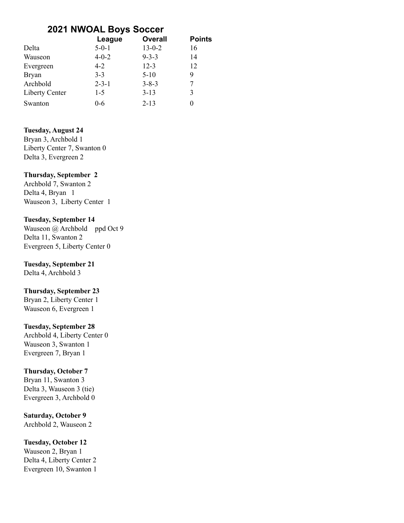# **2021 NWOAL Boys Soccer**

|                | League      | <b>Overall</b> | <b>Points</b> |
|----------------|-------------|----------------|---------------|
| Delta          | $5 - 0 - 1$ | $13 - 0 - 2$   | 16            |
| Wauseon        | $4 - 0 - 2$ | $9 - 3 - 3$    | 14            |
| Evergreen      | $4 - 2$     | $12 - 3$       | 12            |
| <b>Bryan</b>   | $3 - 3$     | $5-10$         | 9             |
| Archbold       | $2 - 3 - 1$ | $3 - 8 - 3$    |               |
| Liberty Center | $1 - 5$     | $3 - 13$       | 3             |
| Swanton        | $0 - 6$     | $2 - 13$       | $\mathbf{0}$  |

#### **Tuesday, August 24**

Bryan 3, Archbold 1 Liberty Center 7, Swanton 0 Delta 3, Evergreen 2

#### **Thursday, September 2**

Archbold 7, Swanton 2 Delta 4, Bryan 1 Wauseon 3, Liberty Center 1

#### **Tuesday, September 14**

Wauseon @ Archbold ppd Oct 9 Delta 11, Swanton 2 Evergreen 5, Liberty Center 0

# **Tuesday, September 21**

Delta 4, Archbold 3

#### **Thursday, September 23**

Bryan 2, Liberty Center 1 Wauseon 6, Evergreen 1

## **Tuesday, September 28**

Archbold 4, Liberty Center 0 Wauseon 3, Swanton 1 Evergreen 7, Bryan 1

#### **Thursday, October 7**

Bryan 11, Swanton 3 Delta 3, Wauseon 3 (tie) Evergreen 3, Archbold 0

## **Saturday, October 9** Archbold 2, Wauseon 2

**Tuesday, October 12**

Wauseon 2, Bryan 1 Delta 4, Liberty Center 2 Evergreen 10, Swanton 1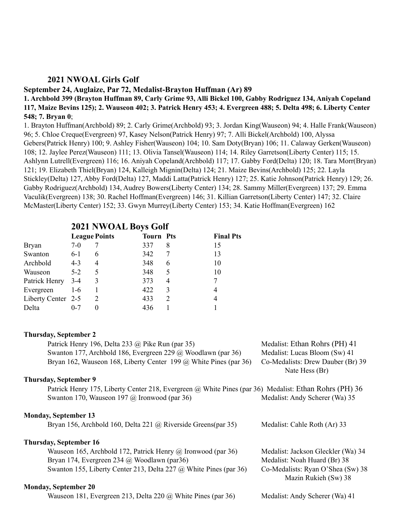#### **2021 NWOAL Girls Golf**

# **September 24, Auglaize, Par 72, Medalist-Brayton Huffman (Ar) 89**

1. Archbold 399 (Brayton Huffman 89, Carly Grime 93, Alli Bickel 100, Gabby Rodriguez 134, Aniyah Copeland 117, Maize Bevins 125); 2. Wauseon 402; 3. Patrick Henry 453; 4. Evergreen 488; 5. Delta 498; 6. Liberty Center **548; 7. Bryan 0**;

1. Brayton Huffman(Archbold) 89; 2. Carly Grime(Archbold) 93; 3. Jordan King(Wauseon) 94; 4. Halle Frank(Wauseon) 96; 5. Chloe Creque(Evergreen) 97, Kasey Nelson(Patrick Henry) 97; 7. Alli Bickel(Archbold) 100, Alyssa Gebers(Patrick Henry) 100; 9. Ashley Fisher(Wauseon) 104; 10. Sam Doty(Bryan) 106; 11. Calaway Gerken(Wauseon) 108; 12. Jaylee Perez(Wauseon) 111; 13. Olivia Tansel(Wauseon) 114; 14. Riley Garretson(Liberty Center) 115; 15. Ashlynn Lutrell(Evergreen) 116; 16. Aniyah Copeland(Archbold) 117; 17. Gabby Ford(Delta) 120; 18. Tara Morr(Bryan) 121; 19. Elizabeth Thiel(Bryan) 124, Kalleigh Mignin(Delta) 124; 21. Maize Bevins(Archbold) 125; 22. Layla Stickley(Delta) 127, Abby Ford(Delta) 127, Maddi Latta(Patrick Henry) 127; 25. Katie Johnson(Patrick Henry) 129; 26. Gabby Rodriguez(Archbold) 134, Audrey Bowers(Liberty Center) 134; 28. Sammy Miller(Evergreen) 137; 29. Emma Vaculik(Evergreen) 138; 30. Rachel Hoffman(Evergreen) 146; 31. Killian Garretson(Liberty Center) 147; 32. Claire McMaster(Liberty Center) 152; 33. Gwyn Murrey(Liberty Center) 153; 34. Katie Hoffman(Evergreen) 162

# **2021 NWOAL Boys Golf**

|                    |         | <b>League Points</b>        | <b>Tourn Pts</b> |               | <b>Final Pts</b> |
|--------------------|---------|-----------------------------|------------------|---------------|------------------|
| <b>Bryan</b>       | $7-0$   |                             | 337              | 8             | 15               |
| Swanton            | $6-1$   | 6                           | 342              |               | 13               |
| Archbold           | $4 - 3$ | 4                           | 348              | 6             | 10               |
| Wauseon            | $5-2$   | 5                           | 348              | 5             | 10               |
| Patrick Henry      | 3-4     | 3                           | 373              | 4             |                  |
| Evergreen          | $1-6$   |                             | 422              | 3             | 4                |
| Liberty Center 2-5 |         | $\mathcal{D}_{\mathcal{L}}$ | 433              | $\mathcal{D}$ | 4                |
| Delta              | $0 - 7$ | $\theta$                    | 436              |               |                  |

#### **Thursday, September 2**

| Patrick Henry 196, Delta 233 @ Pike Run (par 35)                                                      | Medalist: Ethan Rohrs (PH) 41                             |
|-------------------------------------------------------------------------------------------------------|-----------------------------------------------------------|
| Swanton 177, Archbold 186, Evergreen 229 @ Woodlawn (par 36)                                          | Medalist: Lucas Bloom (Sw) 41                             |
| Bryan 162, Wauseon 168, Liberty Center 199 $\omega$ White Pines (par 36)                              | Co-Medalists: Drew Dauber (Br) 39<br>Nate Hess (Br)       |
| <b>Thursday, September 9</b>                                                                          |                                                           |
| Patrick Henry 175, Liberty Center 218, Evergreen @ White Pines (par 36) Medalist: Ethan Rohrs (PH) 36 |                                                           |
| Swanton 170, Wauseon 197 $\omega$ Ironwood (par 36)                                                   | Medalist: Andy Scherer (Wa) 35                            |
| <b>Monday, September 13</b>                                                                           |                                                           |
| Bryan 156, Archbold 160, Delta 221 @ Riverside Greens(par 35)                                         | Medalist: Cahle Roth (Ar) 33                              |
| <b>Thursday, September 16</b>                                                                         |                                                           |
| Wauseon 165, Archbold 172, Patrick Henry $\omega$ Ironwood (par 36)                                   | Medalist: Jackson Gleckler (Wa) 34                        |
| Bryan 174, Evergreen 234 @ Woodlawn (par36)                                                           | Medalist: Noah Huard (Br) 38                              |
| Swanton 155, Liberty Center 213, Delta 227 @ White Pines (par 36)                                     | Co-Medalists: Ryan O'Shea (Sw) 38<br>Mazin Rukieh (Sw) 38 |
| <b>Monday, September 20</b>                                                                           |                                                           |
| Wauseon 181, Evergreen 213, Delta 220 $\omega$ White Pines (par 36)                                   | Medalist: Andy Scherer (Wa) 41                            |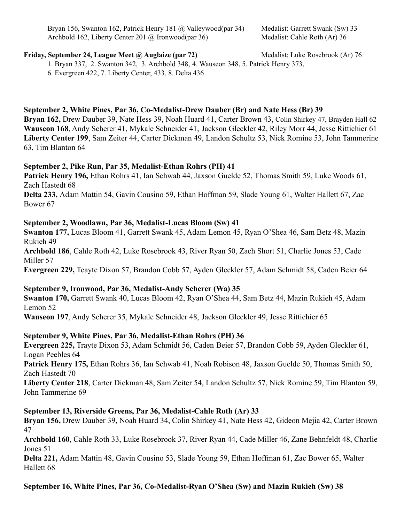Bryan 156, Swanton 162, Patrick Henry 181 @ Valleywood(par 34) Medalist: Garrett Swank (Sw) 33 Archbold 162, Liberty Center 201 @ Ironwood(par 36) Medalist: Cahle Roth (Ar) 36

#### **Friday, September 24, League Meet @ Auglaize (par 72)** Medalist: Luke Rosebrook (Ar) 76

1. Bryan 337, 2. Swanton 342, 3. Archbold 348, 4. Wauseon 348, 5. Patrick Henry 373,

6. Evergreen 422, 7. Liberty Center, 433, 8. Delta 436

# **September 2, White Pines, Par 36, Co-Medalist-Drew Dauber (Br) and Nate Hess (Br) 39**

**Bryan 162,** Drew Dauber 39, Nate Hess 39, Noah Huard 41, Carter Brown 43, Colin Shirkey 47, Brayden Hall 62 **Wauseon 168**, Andy Scherer 41, Mykale Schneider 41, Jackson Gleckler 42, Riley Morr 44, Jesse Rittichier 61 **Liberty Center 199**, Sam Zeiter 44, Carter Dickman 49, Landon Schultz 53, Nick Romine 53, John Tammerine 63, Tim Blanton 64

## **September 2, Pike Run, Par 35, Medalist-Ethan Rohrs (PH) 41**

**Patrick Henry 196,** Ethan Rohrs 41, Ian Schwab 44, Jaxson Guelde 52, Thomas Smith 59, Luke Woods 61, Zach Hastedt 68

**Delta 233,** Adam Mattin 54, Gavin Cousino 59, Ethan Hoffman 59, Slade Young 61, Walter Hallett 67, Zac Bower 67

# **September 2, Woodlawn, Par 36, Medalist-Lucas Bloom (Sw) 41**

**Swanton 177,** Lucas Bloom 41, Garrett Swank 45, Adam Lemon 45, Ryan O'Shea 46, Sam Betz 48, Mazin Rukieh 49

**Archbold 186**, Cahle Roth 42, Luke Rosebrook 43, River Ryan 50, Zach Short 51, Charlie Jones 53, Cade Miller 57

**Evergreen 229,** Teayte Dixon 57, Brandon Cobb 57, Ayden Gleckler 57, Adam Schmidt 58, Caden Beier 64

## **September 9, Ironwood, Par 36, Medalist-Andy Scherer (Wa) 35**

**Swanton 170,** Garrett Swank 40, Lucas Bloom 42, Ryan O'Shea 44, Sam Betz 44, Mazin Rukieh 45, Adam Lemon 52

**Wauseon 197**, Andy Scherer 35, Mykale Schneider 48, Jackson Gleckler 49, Jesse Rittichier 65

## **September 9, White Pines, Par 36, Medalist-Ethan Rohrs (PH) 36**

**Evergreen 225,** Trayte Dixon 53, Adam Schmidt 56, Caden Beier 57, Brandon Cobb 59, Ayden Gleckler 61, Logan Peebles 64

**Patrick Henry 175,** Ethan Rohrs 36, Ian Schwab 41, Noah Robison 48, Jaxson Guelde 50, Thomas Smith 50, Zach Hastedt 70

**Liberty Center 218**, Carter Dickman 48, Sam Zeiter 54, Landon Schultz 57, Nick Romine 59, Tim Blanton 59, John Tammerine 69

## **September 13, Riverside Greens, Par 36, Medalist-Cahle Roth (Ar) 33**

**Bryan 156,** Drew Dauber 39, Noah Huard 34, Colin Shirkey 41, Nate Hess 42, Gideon Mejia 42, Carter Brown 47

**Archbold 160**, Cahle Roth 33, Luke Rosebrook 37, River Ryan 44, Cade Miller 46, Zane Behnfeldt 48, Charlie Jones 51

**Delta 221,** Adam Mattin 48, Gavin Cousino 53, Slade Young 59, Ethan Hoffman 61, Zac Bower 65, Walter Hallett 68

## **September 16, White Pines, Par 36, Co-Medalist-Ryan O'Shea (Sw) and Mazin Rukieh (Sw) 38**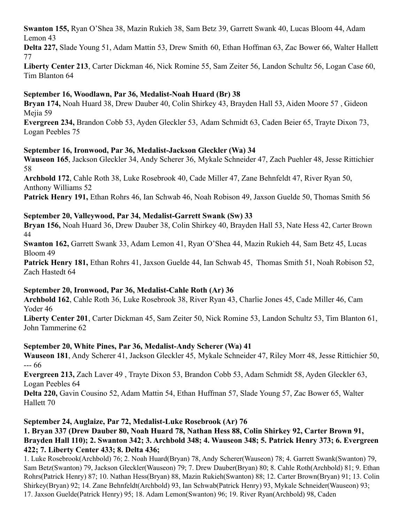**Swanton 155,** Ryan O'Shea 38, Mazin Rukieh 38, Sam Betz 39, Garrett Swank 40, Lucas Bloom 44, Adam Lemon 43

**Delta 227,** Slade Young 51, Adam Mattin 53, Drew Smith 60, Ethan Hoffman 63, Zac Bower 66, Walter Hallett 77

**Liberty Center 213**, Carter Dickman 46, Nick Romine 55, Sam Zeiter 56, Landon Schultz 56, Logan Case 60, Tim Blanton 64

# **September 16, Woodlawn, Par 36, Medalist-Noah Huard (Br) 38**

**Bryan 174,** Noah Huard 38, Drew Dauber 40, Colin Shirkey 43, Brayden Hall 53, Aiden Moore 57 , Gideon Mejia 59

**Evergreen 234,** Brandon Cobb 53, Ayden Gleckler 53, Adam Schmidt 63, Caden Beier 65, Trayte Dixon 73, Logan Peebles 75

# **September 16, Ironwood, Par 36, Medalist-Jackson Gleckler (Wa) 34**

**Wauseon 165**, Jackson Gleckler 34, Andy Scherer 36, Mykale Schneider 47, Zach Puehler 48, Jesse Rittichier 58

**Archbold 172**, Cahle Roth 38, Luke Rosebrook 40, Cade Miller 47, Zane Behnfeldt 47, River Ryan 50, Anthony Williams 52

**Patrick Henry 191,** Ethan Rohrs 46, Ian Schwab 46, Noah Robison 49, Jaxson Guelde 50, Thomas Smith 56

# **September 20, Valleywood, Par 34, Medalist-Garrett Swank (Sw) 33**

**Bryan 156,** Noah Huard 36, Drew Dauber 38, Colin Shirkey 40, Brayden Hall 53, Nate Hess 42, Carter Brown 44

**Swanton 162,** Garrett Swank 33, Adam Lemon 41, Ryan O'Shea 44, Mazin Rukieh 44, Sam Betz 45, Lucas Bloom 49

**Patrick Henry 181,** Ethan Rohrs 41, Jaxson Guelde 44, Ian Schwab 45, Thomas Smith 51, Noah Robison 52, Zach Hastedt 64

## **September 20, Ironwood, Par 36, Medalist-Cahle Roth (Ar) 36**

**Archbold 162**, Cahle Roth 36, Luke Rosebrook 38, River Ryan 43, Charlie Jones 45, Cade Miller 46, Cam Yoder 46

**Liberty Center 201**, Carter Dickman 45, Sam Zeiter 50, Nick Romine 53, Landon Schultz 53, Tim Blanton 61, John Tammerine 62

# **September 20, White Pines, Par 36, Medalist-Andy Scherer (Wa) 41**

**Wauseon 181**, Andy Scherer 41, Jackson Gleckler 45, Mykale Schneider 47, Riley Morr 48, Jesse Rittichier 50, --- 66

**Evergreen 213,** Zach Laver 49 , Trayte Dixon 53, Brandon Cobb 53, Adam Schmidt 58, Ayden Gleckler 63, Logan Peebles 64

**Delta 220,** Gavin Cousino 52, Adam Mattin 54, Ethan Huffman 57, Slade Young 57, Zac Bower 65, Walter Hallett 70

# **September 24, Auglaize, Par 72, Medalist-Luke Rosebrook (Ar) 76**

# **1. Bryan 337 (Drew Dauber 80, Noah Huard 78, Nathan Hess 88, Colin Shirkey 92, Carter Brown 91, Brayden Hall 110); 2. Swanton 342; 3. Archbold 348; 4. Wauseon 348; 5. Patrick Henry 373; 6. Evergreen 422; 7. Liberty Center 433; 8. Delta 436;**

1. Luke Rosebrook(Archbold) 76; 2. Noah Huard(Bryan) 78, Andy Scherer(Wauseon) 78; 4. Garrett Swank(Swanton) 79, Sam Betz(Swanton) 79, Jackson Gleckler(Wauseon) 79; 7. Drew Dauber(Bryan) 80; 8. Cahle Roth(Archbold) 81; 9. Ethan Rohrs(Patrick Henry) 87; 10. Nathan Hess(Bryan) 88, Mazin Rukieh(Swanton) 88; 12. Carter Brown(Bryan) 91; 13. Colin Shirkey(Bryan) 92; 14. Zane Behnfeldt(Archbold) 93, Ian Schwab(Patrick Henry) 93, Mykale Schneider(Wauseon) 93; 17. Jaxson Guelde(Patrick Henry) 95; 18. Adam Lemon(Swanton) 96; 19. River Ryan(Archbold) 98, Caden